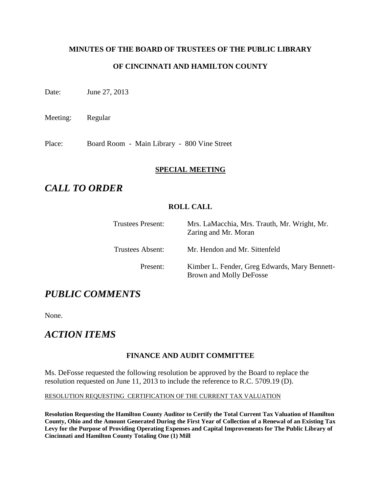## **MINUTES OF THE BOARD OF TRUSTEES OF THE PUBLIC LIBRARY**

### **OF CINCINNATI AND HAMILTON COUNTY**

Date: June 27, 2013

Meeting: Regular

Place: Board Room - Main Library - 800 Vine Street

### **SPECIAL MEETING**

# *CALL TO ORDER*

### **ROLL CALL**

| <b>Trustees Present:</b> | Mrs. LaMacchia, Mrs. Trauth, Mr. Wright, Mr.<br>Zaring and Mr. Moran     |
|--------------------------|--------------------------------------------------------------------------|
| Trustees Absent:         | Mr. Hendon and Mr. Sittenfeld                                            |
| Present:                 | Kimber L. Fender, Greg Edwards, Mary Bennett-<br>Brown and Molly DeFosse |

# *PUBLIC COMMENTS*

None.

# *ACTION ITEMS*

#### **FINANCE AND AUDIT COMMITTEE**

Ms. DeFosse requested the following resolution be approved by the Board to replace the resolution requested on June 11, 2013 to include the reference to R.C. 5709.19 (D).

#### RESOLUTION REQUESTING CERTIFICATION OF THE CURRENT TAX VALUATION

**Resolution Requesting the Hamilton County Auditor to Certify the Total Current Tax Valuation of Hamilton County, Ohio and the Amount Generated During the First Year of Collection of a Renewal of an Existing Tax Levy for the Purpose of Providing Operating Expenses and Capital Improvements for The Public Library of Cincinnati and Hamilton County Totaling One (1) Mill**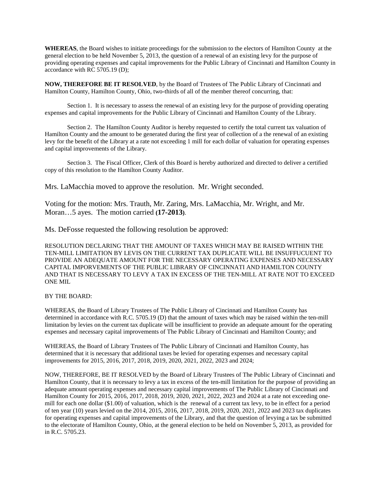**WHEREAS**, the Board wishes to initiate proceedings for the submission to the electors of Hamilton County at the general election to be held November 5, 2013, the question of a renewal of an existing levy for the purpose of providing operating expenses and capital improvements for the Public Library of Cincinnati and Hamilton County in accordance with RC 5705.19 (D);

**NOW, THEREFORE BE IT RESOLVED**, by the Board of Trustees of The Public Library of Cincinnati and Hamilton County, Hamilton County, Ohio, two-thirds of all of the member thereof concurring, that:

Section 1. It is necessary to assess the renewal of an existing levy for the purpose of providing operating expenses and capital improvements for the Public Library of Cincinnati and Hamilton County of the Library.

Section 2. The Hamilton County Auditor is hereby requested to certify the total current tax valuation of Hamilton County and the amount to be generated during the first year of collection of a the renewal of an existing levy for the benefit of the Library at a rate not exceeding 1 mill for each dollar of valuation for operating expenses and capital improvements of the Library.

Section 3. The Fiscal Officer, Clerk of this Board is hereby authorized and directed to deliver a certified copy of this resolution to the Hamilton County Auditor.

Mrs. LaMacchia moved to approve the resolution. Mr. Wright seconded.

Voting for the motion: Mrs. Trauth, Mr. Zaring, Mrs. LaMacchia, Mr. Wright, and Mr. Moran…5 ayes. The motion carried **(17-2013)**.

Ms. DeFosse requested the following resolution be approved:

RESOLUTION DECLARING THAT THE AMOUNT OF TAXES WHICH MAY BE RAISED WITHIN THE TEN-MILL LIMITATION BY LEVIS ON THE CURRENT TAX DUPLICATE WILL BE INSUFFUCUENT TO PROVIDE AN ADEQUATE AMOUNT FOR THE NECESSARY OPERATING EXPENSES AND NECESSARY CAPITAL IMPORVEMENTS OF THE PUBLIC LIBRARY OF CINCINNATI AND HAMILTON COUNTY AND THAT IS NECESSARY TO LEVY A TAX IN EXCESS OF THE TEN-MILL AT RATE NOT TO EXCEED ONE MIL

#### BY THE BOARD:

WHEREAS, the Board of Library Trustees of The Public Library of Cincinnati and Hamilton County has determined in accordance with R.C. 5705.19 (D) that the amount of taxes which may be raised within the ten-mill limitation by levies on the current tax duplicate will be insufficient to provide an adequate amount for the operating expenses and necessary capital improvements of The Public Library of Cincinnati and Hamilton County; and

WHEREAS, the Board of Library Trustees of The Public Library of Cincinnati and Hamilton County, has determined that it is necessary that additional taxes be levied for operating expenses and necessary capital improvements for 2015, 2016, 2017, 2018, 2019, 2020, 2021, 2022, 2023 and 2024;

NOW, THEREFORE, BE IT RESOLVED by the Board of Library Trustees of The Public Library of Cincinnati and Hamilton County, that it is necessary to levy a tax in excess of the ten-mill limitation for the purpose of providing an adequate amount operating expenses and necessary capital improvements of The Public Library of Cincinnati and Hamilton County for 2015, 2016, 2017, 2018, 2019, 2020, 2021, 2022, 2023 and 2024 at a rate not exceeding onemill for each one dollar (\$1.00) of valuation, which is the renewal of a current tax levy, to be in effect for a period of ten year (10) years levied on the 2014, 2015, 2016, 2017, 2018, 2019, 2020, 2021, 2022 and 2023 tax duplicates for operating expenses and capital improvements of the Library, and that the question of levying a tax be submitted to the electorate of Hamilton County, Ohio, at the general election to be held on November 5, 2013, as provided for in R.C. 5705.23.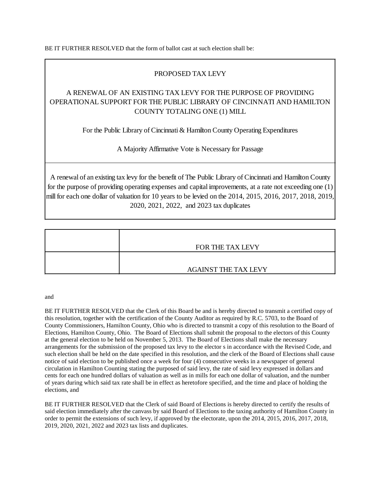BE IT FURTHER RESOLVED that the form of ballot cast at such election shall be:

#### PROPOSED TAX LEVY

## A RENEWAL OF AN EXISTING TAX LEVY FOR THE PURPOSE OF PROVIDING OPERATIONAL SUPPORT FOR THE PUBLIC LIBRARY OF CINCINNATI AND HAMILTON COUNTY TOTALING ONE (1) MILL

For the Public Library of Cincinnati & Hamilton County Operating Expenditures

A Majority Affirmative Vote is Necessary for Passage

A renewal of an existing tax levy for the benefit of The Public Library of Cincinnati and Hamilton County for the purpose of providing operating expenses and capital improvements, at a rate not exceeding one (1) mill for each one dollar of valuation for 10 years to be levied on the 2014, 2015, 2016, 2017, 2018, 2019, 2020, 2021, 2022, and 2023 tax duplicates

| FOR THE TAX LEVY            |
|-----------------------------|
|                             |
| <b>AGAINST THE TAX LEVY</b> |

#### and

BE IT FURTHER RESOLVED that the Clerk of this Board be and is hereby directed to transmit a certified copy of this resolution, together with the certification of the County Auditor as required by R.C. 5703, to the Board of County Commissioners, Hamilton County, Ohio who is directed to transmit a copy of this resolution to the Board of Elections, Hamilton County, Ohio. The Board of Elections shall submit the proposal to the electors of this County at the general election to be held on November 5, 2013. The Board of Elections shall make the necessary arrangements for the submission of the proposed tax levy to the elector s in accordance with the Revised Code, and such election shall be held on the date specified in this resolution, and the clerk of the Board of Elections shall cause notice of said election to be published once a week for four (4) consecutive weeks in a newspaper of general circulation in Hamilton Counting stating the purposed of said levy, the rate of said levy expressed in dollars and cents for each one hundred dollars of valuation as well as in mills for each one dollar of valuation, and the number of years during which said tax rate shall be in effect as heretofore specified, and the time and place of holding the elections, and

BE IT FURTHER RESOLVED that the Clerk of said Board of Elections is hereby directed to certify the results of said election immediately after the canvass by said Board of Elections to the taxing authority of Hamilton County in order to permit the extensions of such levy, if approved by the electorate, upon the 2014, 2015, 2016, 2017, 2018, 2019, 2020, 2021, 2022 and 2023 tax lists and duplicates.